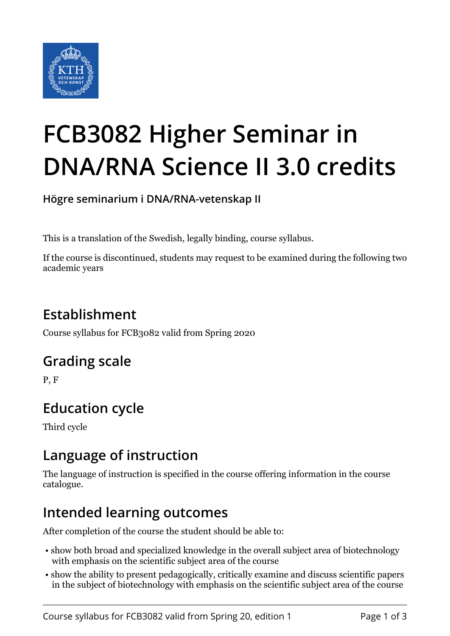

# **FCB3082 Higher Seminar in DNA/RNA Science II 3.0 credits**

**Högre seminarium i DNA/RNA-vetenskap II**

This is a translation of the Swedish, legally binding, course syllabus.

If the course is discontinued, students may request to be examined during the following two academic years

# **Establishment**

Course syllabus for FCB3082 valid from Spring 2020

#### **Grading scale**

P, F

# **Education cycle**

Third cycle

#### **Language of instruction**

The language of instruction is specified in the course offering information in the course catalogue.

## **Intended learning outcomes**

After completion of the course the student should be able to:

- show both broad and specialized knowledge in the overall subject area of biotechnology with emphasis on the scientific subject area of the course
- show the ability to present pedagogically, critically examine and discuss scientific papers in the subject of biotechnology with emphasis on the scientific subject area of the course